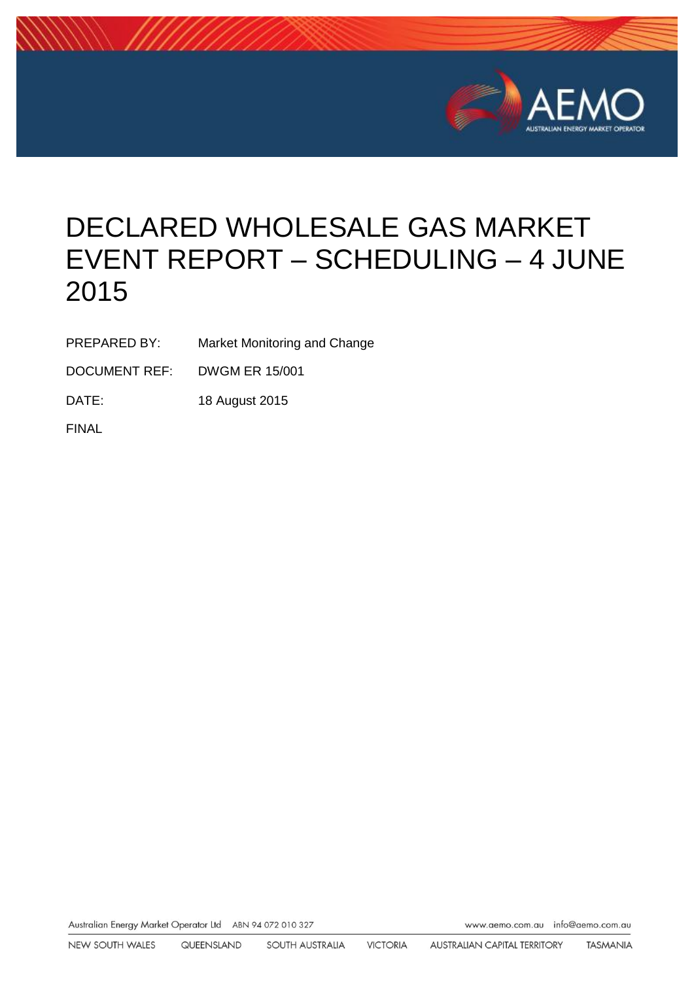

# DECLARED WHOLESALE GAS MARKET EVENT REPORT – SCHEDULING – 4 JUNE 2015

PREPARED BY: Market Monitoring and Change

DOCUMENT REF: DWGM ER 15/001

DATE: 18 August 2015

FINAL

Australian Energy Market Operator Ltd ABN 94 072 010 327 www.aemo.com.au info@aemo.com.au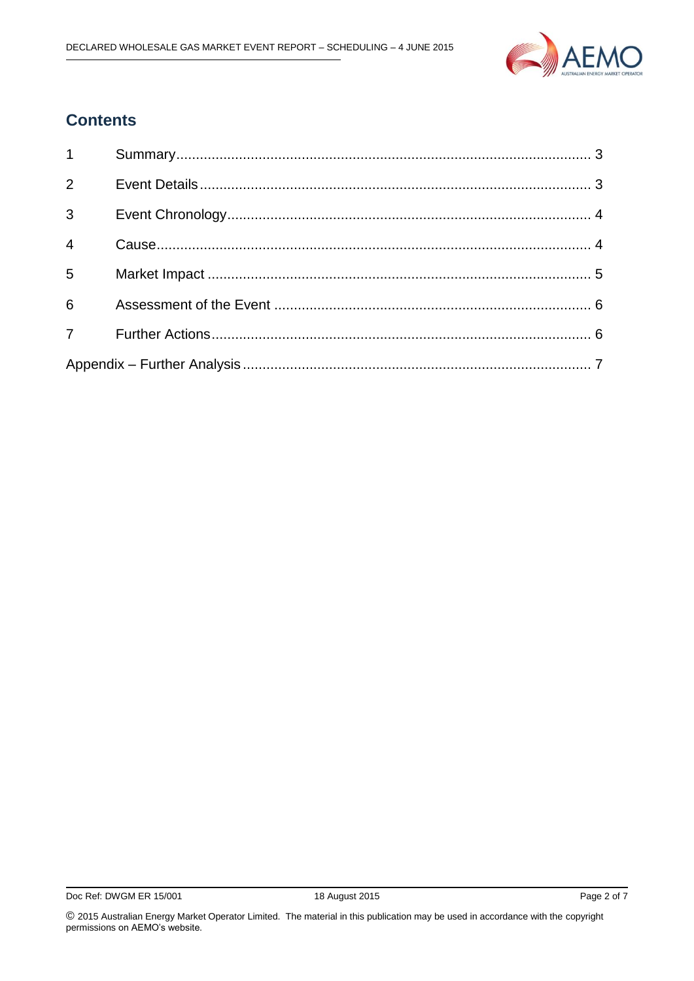

### **Contents**

| $1 \quad \blacksquare$ |  |
|------------------------|--|
| $\overline{2}$         |  |
| $3^{\circ}$            |  |
| $\overline{4}$         |  |
| $5^{\circ}$            |  |
| $6 \quad$              |  |
|                        |  |
|                        |  |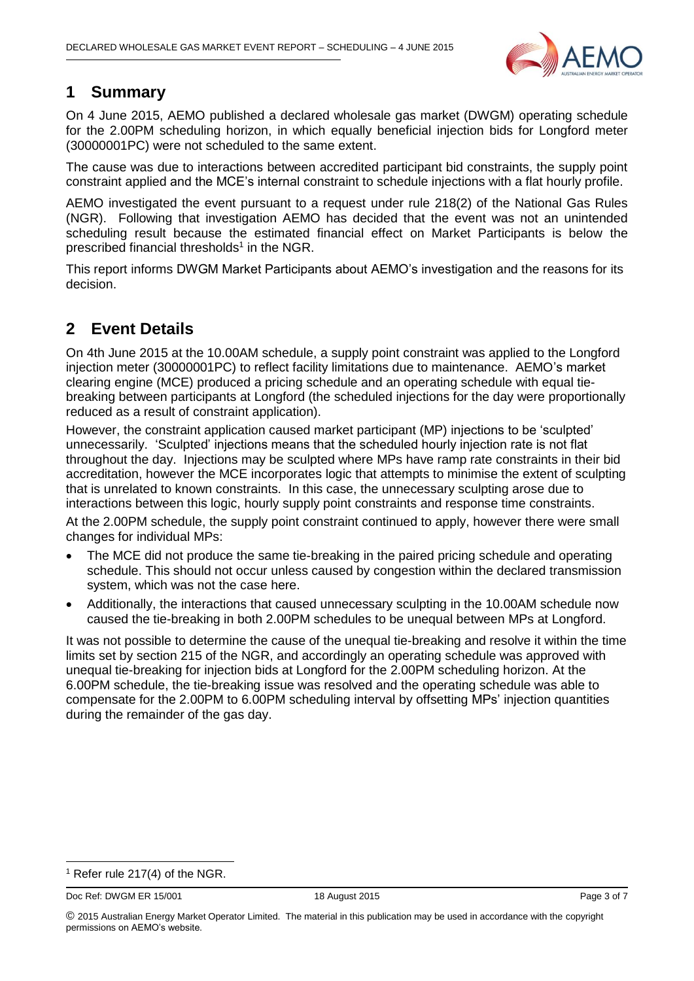

#### <span id="page-2-0"></span>**1 Summary**

On 4 June 2015, AEMO published a declared wholesale gas market (DWGM) operating schedule for the 2.00PM scheduling horizon, in which equally beneficial injection bids for Longford meter (30000001PC) were not scheduled to the same extent.

The cause was due to interactions between accredited participant bid constraints, the supply point constraint applied and the MCE's internal constraint to schedule injections with a flat hourly profile.

AEMO investigated the event pursuant to a request under rule 218(2) of the National Gas Rules (NGR). Following that investigation AEMO has decided that the event was not an unintended scheduling result because the estimated financial effect on Market Participants is below the prescribed financial thresholds<sup>1</sup> in the NGR.

This report informs DWGM Market Participants about AEMO's investigation and the reasons for its decision.

### <span id="page-2-1"></span>**2 Event Details**

On 4th June 2015 at the 10.00AM schedule, a supply point constraint was applied to the Longford injection meter (30000001PC) to reflect facility limitations due to maintenance. AEMO's market clearing engine (MCE) produced a pricing schedule and an operating schedule with equal tiebreaking between participants at Longford (the scheduled injections for the day were proportionally reduced as a result of constraint application).

However, the constraint application caused market participant (MP) injections to be 'sculpted' unnecessarily. 'Sculpted' injections means that the scheduled hourly injection rate is not flat throughout the day. Injections may be sculpted where MPs have ramp rate constraints in their bid accreditation, however the MCE incorporates logic that attempts to minimise the extent of sculpting that is unrelated to known constraints. In this case, the unnecessary sculpting arose due to interactions between this logic, hourly supply point constraints and response time constraints. At the 2.00PM schedule, the supply point constraint continued to apply, however there were small changes for individual MPs:

- The MCE did not produce the same tie-breaking in the paired pricing schedule and operating schedule. This should not occur unless caused by congestion within the declared transmission system, which was not the case here.
- Additionally, the interactions that caused unnecessary sculpting in the 10.00AM schedule now caused the tie-breaking in both 2.00PM schedules to be unequal between MPs at Longford.

It was not possible to determine the cause of the unequal tie-breaking and resolve it within the time limits set by section 215 of the NGR, and accordingly an operating schedule was approved with unequal tie-breaking for injection bids at Longford for the 2.00PM scheduling horizon. At the 6.00PM schedule, the tie-breaking issue was resolved and the operating schedule was able to compensate for the 2.00PM to 6.00PM scheduling interval by offsetting MPs' injection quantities during the remainder of the gas day.

Doc Ref: DWGM ER 15/001 18 August 2015 18 August 2015

-

 $1$  Refer rule 217(4) of the NGR.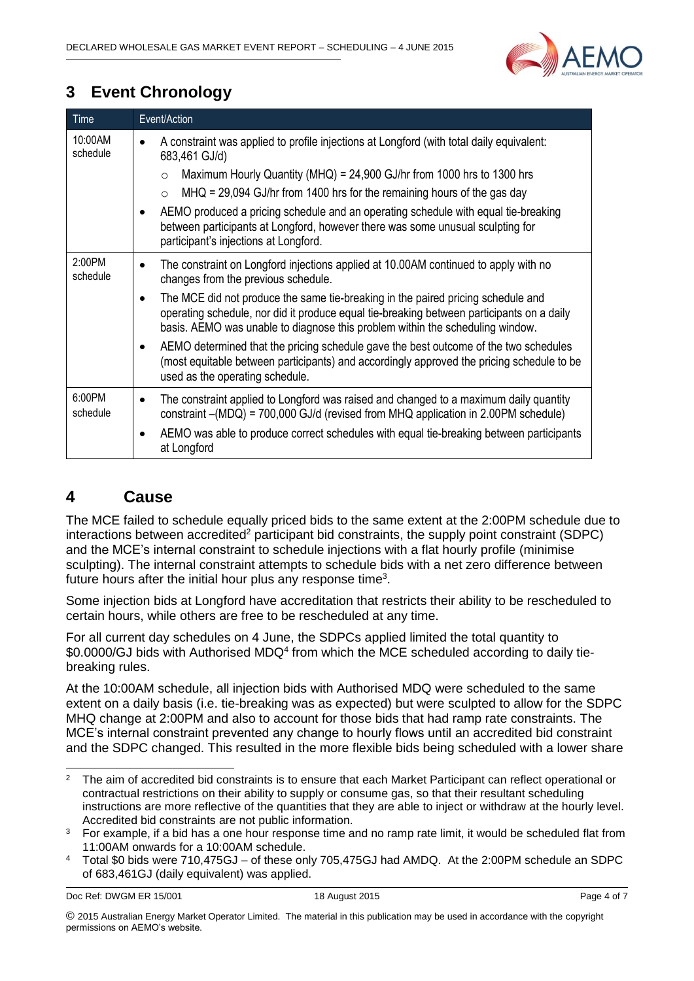

## <span id="page-3-0"></span>**3 Event Chronology**

| Time                | Event/Action                                                                                                                                                                                                                                                   |
|---------------------|----------------------------------------------------------------------------------------------------------------------------------------------------------------------------------------------------------------------------------------------------------------|
| 10:00AM<br>schedule | A constraint was applied to profile injections at Longford (with total daily equivalent:<br>683,461 GJ/d)                                                                                                                                                      |
|                     | Maximum Hourly Quantity (MHQ) = 24,900 GJ/hr from 1000 hrs to 1300 hrs<br>$\circ$                                                                                                                                                                              |
|                     | $MHQ = 29,094$ GJ/hr from 1400 hrs for the remaining hours of the gas day<br>$\circ$                                                                                                                                                                           |
|                     | AEMO produced a pricing schedule and an operating schedule with equal tie-breaking<br>between participants at Longford, however there was some unusual sculpting for<br>participant's injections at Longford.                                                  |
| 2:00PM<br>schedule  | The constraint on Longford injections applied at 10.00AM continued to apply with no<br>changes from the previous schedule.                                                                                                                                     |
|                     | The MCE did not produce the same tie-breaking in the paired pricing schedule and<br>operating schedule, nor did it produce equal tie-breaking between participants on a daily<br>basis. AEMO was unable to diagnose this problem within the scheduling window. |
|                     | AEMO determined that the pricing schedule gave the best outcome of the two schedules<br>(most equitable between participants) and accordingly approved the pricing schedule to be<br>used as the operating schedule.                                           |
| 6:00PM<br>schedule  | The constraint applied to Longford was raised and changed to a maximum daily quantity<br>constraint -(MDQ) = 700,000 GJ/d (revised from MHQ application in 2.00PM schedule)                                                                                    |
|                     | AEMO was able to produce correct schedules with equal tie-breaking between participants<br>at Longford                                                                                                                                                         |

#### <span id="page-3-1"></span>**4 Cause**

The MCE failed to schedule equally priced bids to the same extent at the 2:00PM schedule due to interactions between accredited<sup>2</sup> participant bid constraints, the supply point constraint (SDPC) and the MCE's internal constraint to schedule injections with a flat hourly profile (minimise sculpting). The internal constraint attempts to schedule bids with a net zero difference between future hours after the initial hour plus any response time<sup>3</sup>.

Some injection bids at Longford have accreditation that restricts their ability to be rescheduled to certain hours, while others are free to be rescheduled at any time.

For all current day schedules on 4 June, the SDPCs applied limited the total quantity to \$0.0000/GJ bids with Authorised MDQ<sup>4</sup> from which the MCE scheduled according to daily tiebreaking rules.

At the 10:00AM schedule, all injection bids with Authorised MDQ were scheduled to the same extent on a daily basis (i.e. tie-breaking was as expected) but were sculpted to allow for the SDPC MHQ change at 2:00PM and also to account for those bids that had ramp rate constraints. The MCE's internal constraint prevented any change to hourly flows until an accredited bid constraint and the SDPC changed. This resulted in the more flexible bids being scheduled with a lower share

<sup>1</sup> <sup>2</sup> The aim of accredited bid constraints is to ensure that each Market Participant can reflect operational or contractual restrictions on their ability to supply or consume gas, so that their resultant scheduling instructions are more reflective of the quantities that they are able to inject or withdraw at the hourly level. Accredited bid constraints are not public information.

<sup>&</sup>lt;sup>3</sup> For example, if a bid has a one hour response time and no ramp rate limit, it would be scheduled flat from 11:00AM onwards for a 10:00AM schedule.

<sup>4</sup> Total \$0 bids were 710,475GJ – of these only 705,475GJ had AMDQ. At the 2:00PM schedule an SDPC of 683,461GJ (daily equivalent) was applied.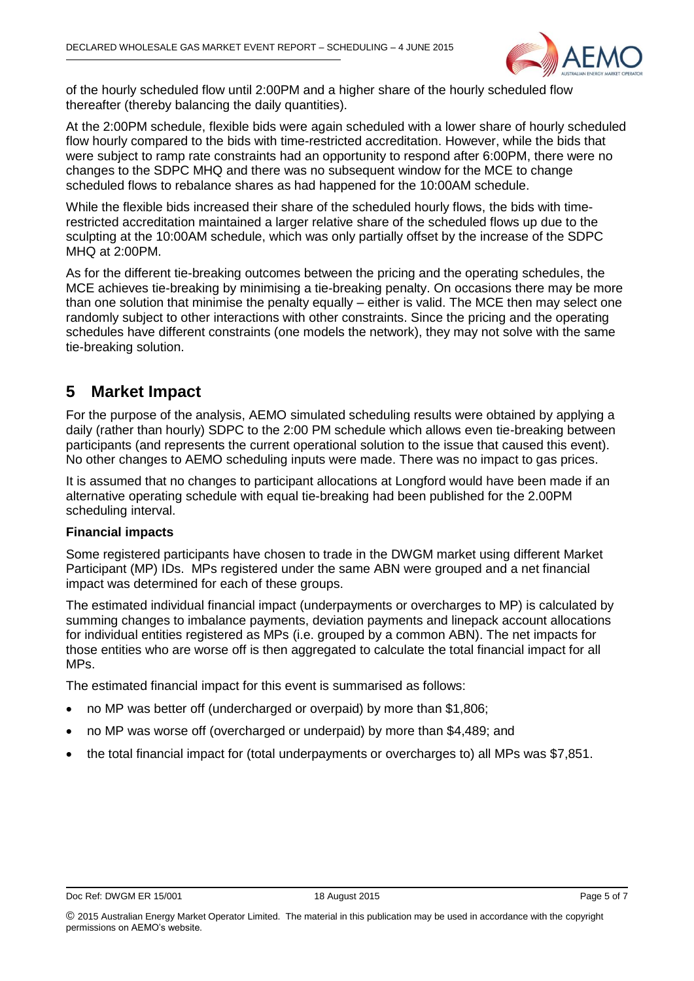

of the hourly scheduled flow until 2:00PM and a higher share of the hourly scheduled flow thereafter (thereby balancing the daily quantities).

At the 2:00PM schedule, flexible bids were again scheduled with a lower share of hourly scheduled flow hourly compared to the bids with time-restricted accreditation. However, while the bids that were subject to ramp rate constraints had an opportunity to respond after 6:00PM, there were no changes to the SDPC MHQ and there was no subsequent window for the MCE to change scheduled flows to rebalance shares as had happened for the 10:00AM schedule.

While the flexible bids increased their share of the scheduled hourly flows, the bids with timerestricted accreditation maintained a larger relative share of the scheduled flows up due to the sculpting at the 10:00AM schedule, which was only partially offset by the increase of the SDPC MHQ at 2:00PM.

As for the different tie-breaking outcomes between the pricing and the operating schedules, the MCE achieves tie-breaking by minimising a tie-breaking penalty. On occasions there may be more than one solution that minimise the penalty equally – either is valid. The MCE then may select one randomly subject to other interactions with other constraints. Since the pricing and the operating schedules have different constraints (one models the network), they may not solve with the same tie-breaking solution.

#### <span id="page-4-0"></span>**5 Market Impact**

For the purpose of the analysis, AEMO simulated scheduling results were obtained by applying a daily (rather than hourly) SDPC to the 2:00 PM schedule which allows even tie-breaking between participants (and represents the current operational solution to the issue that caused this event). No other changes to AEMO scheduling inputs were made. There was no impact to gas prices.

It is assumed that no changes to participant allocations at Longford would have been made if an alternative operating schedule with equal tie-breaking had been published for the 2.00PM scheduling interval.

#### **Financial impacts**

Some registered participants have chosen to trade in the DWGM market using different Market Participant (MP) IDs. MPs registered under the same ABN were grouped and a net financial impact was determined for each of these groups.

The estimated individual financial impact (underpayments or overcharges to MP) is calculated by summing changes to imbalance payments, deviation payments and linepack account allocations for individual entities registered as MPs (i.e. grouped by a common ABN). The net impacts for those entities who are worse off is then aggregated to calculate the total financial impact for all MPs.

The estimated financial impact for this event is summarised as follows:

- no MP was better off (undercharged or overpaid) by more than \$1,806;
- no MP was worse off (overcharged or underpaid) by more than \$4,489; and
- the total financial impact for (total underpayments or overcharges to) all MPs was \$7,851.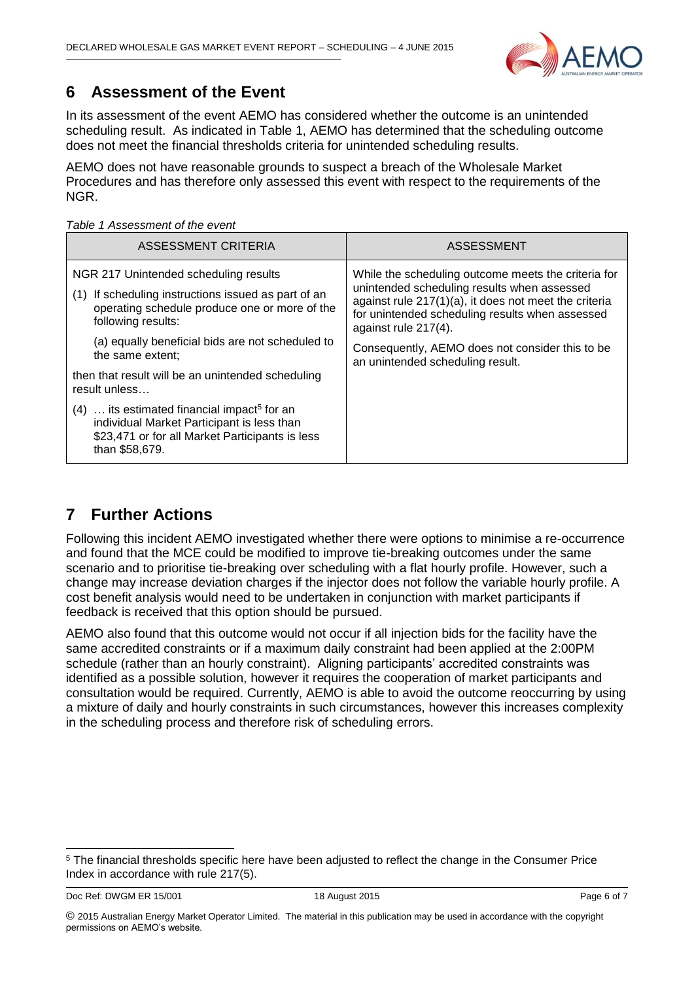

### <span id="page-5-0"></span>**6 Assessment of the Event**

In its assessment of the event AEMO has considered whether the outcome is an unintended scheduling result. As indicated in Table 1, AEMO has determined that the scheduling outcome does not meet the financial thresholds criteria for unintended scheduling results.

AEMO does not have reasonable grounds to suspect a breach of the Wholesale Market Procedures and has therefore only assessed this event with respect to the requirements of the NGR.

*Table 1 Assessment of the event* 

| ASSESSMENT CRITERIA                                                                                                                                                                                                                            | ASSESSMENT                                                                                                                                                                                                                                                                                                                     |  |  |
|------------------------------------------------------------------------------------------------------------------------------------------------------------------------------------------------------------------------------------------------|--------------------------------------------------------------------------------------------------------------------------------------------------------------------------------------------------------------------------------------------------------------------------------------------------------------------------------|--|--|
| NGR 217 Unintended scheduling results<br>If scheduling instructions issued as part of an<br>(1)<br>operating schedule produce one or more of the<br>following results:<br>(a) equally beneficial bids are not scheduled to<br>the same extent; | While the scheduling outcome meets the criteria for<br>unintended scheduling results when assessed<br>against rule 217(1)(a), it does not meet the criteria<br>for unintended scheduling results when assessed<br>against rule 217(4).<br>Consequently, AEMO does not consider this to be.<br>an unintended scheduling result. |  |  |
| then that result will be an unintended scheduling<br>result unless                                                                                                                                                                             |                                                                                                                                                                                                                                                                                                                                |  |  |
| its estimated financial impact <sup>5</sup> for an<br>(4)<br>individual Market Participant is less than<br>\$23,471 or for all Market Participants is less<br>than \$58,679.                                                                   |                                                                                                                                                                                                                                                                                                                                |  |  |

### <span id="page-5-1"></span>**7 Further Actions**

Following this incident AEMO investigated whether there were options to minimise a re-occurrence and found that the MCE could be modified to improve tie-breaking outcomes under the same scenario and to prioritise tie-breaking over scheduling with a flat hourly profile. However, such a change may increase deviation charges if the injector does not follow the variable hourly profile. A cost benefit analysis would need to be undertaken in conjunction with market participants if feedback is received that this option should be pursued.

AEMO also found that this outcome would not occur if all injection bids for the facility have the same accredited constraints or if a maximum daily constraint had been applied at the 2:00PM schedule (rather than an hourly constraint). Aligning participants' accredited constraints was identified as a possible solution, however it requires the cooperation of market participants and consultation would be required. Currently, AEMO is able to avoid the outcome reoccurring by using a mixture of daily and hourly constraints in such circumstances, however this increases complexity in the scheduling process and therefore risk of scheduling errors.

Doc Ref: DWGM ER 15/001 18 August 2015 18 August 2015

1

<sup>5</sup> The financial thresholds specific here have been adjusted to reflect the change in the Consumer Price Index in accordance with rule 217(5).